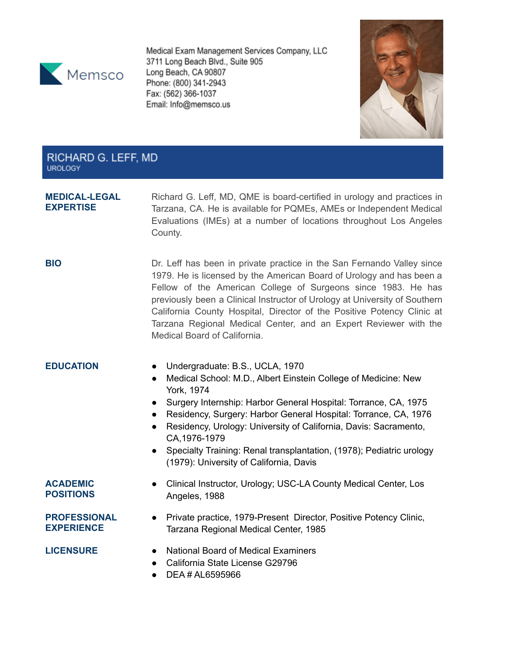

Medical Exam Management Services Company, LLC 3711 Long Beach Blvd., Suite 905 Long Beach, CA 90807 Phone: (800) 341-2943 Fax: (562) 366-1037 Email: Info@memsco.us



## RICHARD G. LEFF, MD **UROLOGY**

### **MEDICAL-LEGAL EXPERTISE**

Richard G. Leff, MD, QME is board-certified in urology and practices in Tarzana, CA. He is available for PQMEs, AMEs or Independent Medical Evaluations (IMEs) at a number of locations throughout Los Angeles County.

**BIO** Dr. Leff has been in private practice in the San Fernando Valley since 1979. He is licensed by the American Board of Urology and has been a Fellow of the American College of Surgeons since 1983. He has previously been a Clinical Instructor of Urology at University of Southern California County Hospital, Director of the Positive Potency Clinic at Tarzana Regional Medical Center, and an Expert Reviewer with the Medical Board of California.

- **EDUCATION** Undergraduate: B.S., UCLA, 1970
	- Medical School: M.D., Albert Einstein College of Medicine: New York, 1974
	- Surgery Internship: Harbor General Hospital: Torrance, CA, 1975
	- Residency, Surgery: Harbor General Hospital: Torrance, CA, 1976
	- Residency, Urology: University of California, Davis: Sacramento, CA,1976-1979
	- Specialty Training: Renal transplantation, (1978); Pediatric urology (1979): University of California, Davis

### **ACADEMIC POSITIONS**

● Clinical Instructor, Urology; USC-LA County Medical Center, Los Angeles, 1988

## **PROFESSIONAL EXPERIENCE**

● Private practice, 1979-Present Director, Positive Potency Clinic, Tarzana Regional Medical Center, 1985

- **LICENSURE** National Board of Medical Examiners
	- California State License G29796
	- DEA # AL6595966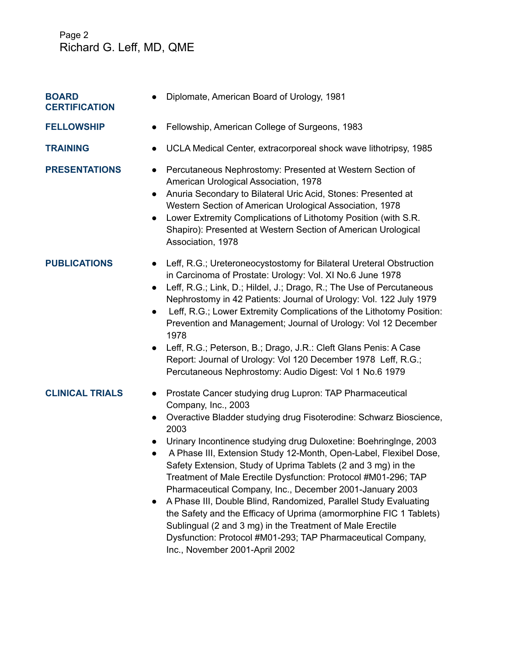# Page 2 Richard G. Leff, MD, QME

| <b>BOARD</b><br><b>CERTIFICATION</b> | Diplomate, American Board of Urology, 1981                                                                                                                                                                                                                                                                                                                                                                                                                                                                                                                                                                                                                                                                                                                                                             |
|--------------------------------------|--------------------------------------------------------------------------------------------------------------------------------------------------------------------------------------------------------------------------------------------------------------------------------------------------------------------------------------------------------------------------------------------------------------------------------------------------------------------------------------------------------------------------------------------------------------------------------------------------------------------------------------------------------------------------------------------------------------------------------------------------------------------------------------------------------|
| <b>FELLOWSHIP</b>                    | Fellowship, American College of Surgeons, 1983<br>$\bullet$                                                                                                                                                                                                                                                                                                                                                                                                                                                                                                                                                                                                                                                                                                                                            |
| <b>TRAINING</b>                      | UCLA Medical Center, extracorporeal shock wave lithotripsy, 1985                                                                                                                                                                                                                                                                                                                                                                                                                                                                                                                                                                                                                                                                                                                                       |
| <b>PRESENTATIONS</b>                 | Percutaneous Nephrostomy: Presented at Western Section of<br>American Urological Association, 1978<br>Anuria Secondary to Bilateral Uric Acid, Stones: Presented at<br>$\bullet$<br>Western Section of American Urological Association, 1978<br>Lower Extremity Complications of Lithotomy Position (with S.R.<br>$\bullet$<br>Shapiro): Presented at Western Section of American Urological<br>Association, 1978                                                                                                                                                                                                                                                                                                                                                                                      |
| <b>PUBLICATIONS</b>                  | Leff, R.G.; Ureteroneocystostomy for Bilateral Ureteral Obstruction<br>$\bullet$<br>in Carcinoma of Prostate: Urology: Vol. XI No.6 June 1978<br>Leff, R.G.; Link, D.; Hildel, J.; Drago, R.; The Use of Percutaneous<br>$\bullet$<br>Nephrostomy in 42 Patients: Journal of Urology: Vol. 122 July 1979<br>Leff, R.G.; Lower Extremity Complications of the Lithotomy Position:<br>$\bullet$<br>Prevention and Management; Journal of Urology: Vol 12 December<br>1978<br>Leff, R.G.; Peterson, B.; Drago, J.R.: Cleft Glans Penis: A Case<br>$\bullet$<br>Report: Journal of Urology: Vol 120 December 1978 Leff, R.G.;<br>Percutaneous Nephrostomy: Audio Digest: Vol 1 No.6 1979                                                                                                                   |
| <b>CLINICAL TRIALS</b>               | Prostate Cancer studying drug Lupron: TAP Pharmaceutical<br>$\bullet$<br>Company, Inc., 2003<br>Overactive Bladder studying drug Fisoterodine: Schwarz Bioscience,<br>$\bullet$<br>2003<br>Urinary Incontinence studying drug Duloxetine: BoehringInge, 2003<br>A Phase III, Extension Study 12-Month, Open-Label, Flexibel Dose,<br>Safety Extension, Study of Uprima Tablets (2 and 3 mg) in the<br>Treatment of Male Erectile Dysfunction: Protocol #M01-296; TAP<br>Pharmaceutical Company, Inc., December 2001-January 2003<br>A Phase III, Double Blind, Randomized, Parallel Study Evaluating<br>the Safety and the Efficacy of Uprima (amormorphine FIC 1 Tablets)<br>Sublingual (2 and 3 mg) in the Treatment of Male Erectile<br>Dysfunction: Protocol #M01-293; TAP Pharmaceutical Company, |

Inc., November 2001-April 2002